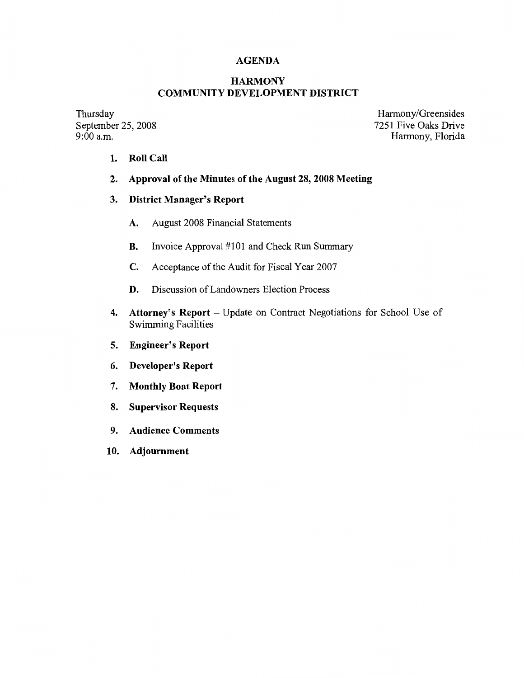## **AGENDA**

### **HARMONY COMMUNITY DEVELOPMENT DISTRICT**

Thursday September 25, 2008  $9:00$  a.m.

Harmony/Greensides 7251 Five Oaks Drive Harmony, Florida

- **1. Roll Call**
- **2. Approval of the Minutes of the August 28, 2008 Meeting**

#### **3. District Manager's Report**

- **A.** August 2008 Financial Statements
- **B.** Invoice Approval #101 and Check Run Summary
- **C.** Acceptance of the Audit for Fiscal Year 2007
- **D.** Discussion of Landowners Election Process
- 4. Attorney's Report Update on Contract Negotiations for School Use of Swimming Facilities
- **5. Engineer's Report**
- 6. **Developer's Report**
- 7. **Monthly Boat Report**
- **8. Supervisor Requests**
- 9. **Audience Comments**
- 10. **Adjournment**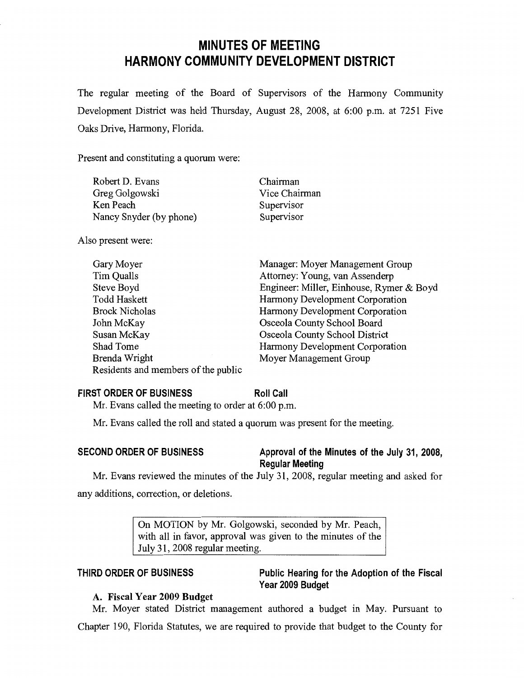# **MINUTES OF MEETING HARMONY COMMUNITY DEVELOPMENT DISTRICT**

The regular meeting of the Board of Supervisors of the Harmony Community Development District was held Thursday, August 28, 2008, at 6:00 p.m. at 7251 Five Oaks Drive, Harmony, Florida.

Present and constituting a quorum were:

| Robert D. Evans         | Chairman      |
|-------------------------|---------------|
| Greg Golgowski          | Vice Chairman |
| Ken Peach               | Supervisor    |
| Nancy Snyder (by phone) | Supervisor    |

Also present were:

| Gary Moyer                          | Manager: Moyer Management Group          |
|-------------------------------------|------------------------------------------|
| Tim Qualls                          | Attorney: Young, van Assenderp           |
| Steve Boyd                          | Engineer: Miller, Einhouse, Rymer & Boyd |
| <b>Todd Haskett</b>                 | Harmony Development Corporation          |
| <b>Brock Nicholas</b>               | Harmony Development Corporation          |
| John McKay                          | Osceola County School Board              |
| Susan McKay                         | Osceola County School District           |
| Shad Tome                           | Harmony Development Corporation          |
| Brenda Wright                       | Moyer Management Group                   |
| Residents and members of the public |                                          |

#### **FIRST ORDER OF BUSINESS**

**Roll Call** 

Mr. Evans called the meeting to order at 6:00 p.m.

Mr. Evans called the roll and stated a quorum was present for the meeting.

### **SECOND ORDER OF BUSINESS Approval of the Minutes of the July 31, 2008, Regular Meeting**

Mr. Evans reviewed the minutes of the July 31, 2008, regular meeting and asked for any additions, correction, or deletions.

> On MOTION by Mr. Golgowski, seconded by Mr. Peach, with all in favor, approval was given to the minutes of the July 31, 2008 regular meeting.

## **THIRD ORDER OF BUSINESS**

**Public Hearing for the Adoption of the Fiscal Year 2009 Budget** 

## **A. Fiscal Year 2009 Budget**

Mr. Moyer stated District management authored a budget in May. Pursuant to Chapter 190, Florida Statutes, we are required to provide that budget to the County for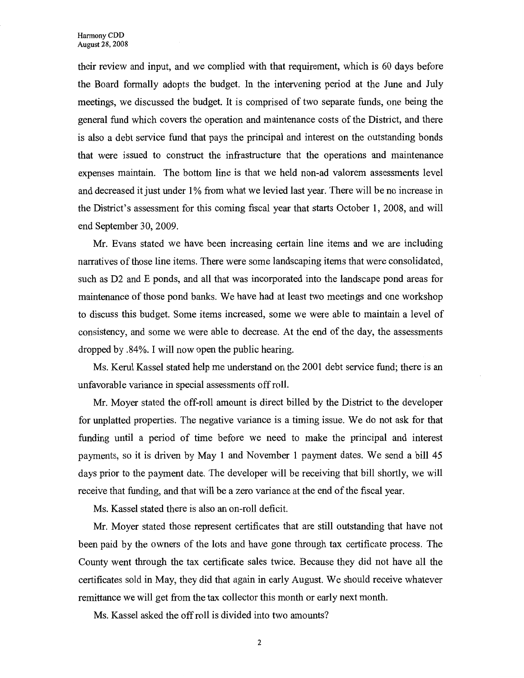their review and input, and we complied with that requirement, which is 60 days before the Board formally adopts the budget. In the intervening period at the June and July meetings, we discussed the budget. It is comprised of two separate funds, one being the general fund which covers the operation and maintenance costs of the District, and there is also a debt service fund that pays the principal and interest on the outstanding bonds that were issued to construct the infrastructure that the operations and maintenance expenses maintain. The bottom line is that we held non-ad valorem assessments level and decreased it just under 1% from what we levied last year. There will be no increase in the District's assessment for this coming fiscal year that starts October 1, 2008, and will end September 30, 2009.

Mr. Evans stated we have been increasing certain line items and we are including narratives of those line items. There were some landscaping items that were consolidated, such as D2 and E ponds, and all that was incorporated into the landscape pond areas for maintenance of those pond banks. We have had at least two meetings and one workshop to discuss this budget. Some items increased, some we were able to maintain a level of consistency, and some we were able to decrease. At the end of the day, the assessments dropped by .84%. I will now open the public hearing.

Ms. Kerul Kassel stated help me understand on the 2001 debt service fund; there is an unfavorable variance in special assessments off roll.

Mr. Moyer stated the off-roll amount is direct billed by the District to the developer for unplatted properties. The negative variance is a timing issue. We do not ask for that funding until a period of time before we need to make the principal and interest payments, so it is driven by May 1 and November 1 payment dates. We send a bill 45 days prior to the payment date. The developer will be receiving that bill shortly, we will receive that funding, and that will be a zero variance at the end of the fiscal year.

Ms. Kassel stated there is also an on-roll deficit.

Mr. Moyer stated those represent certificates that are still outstanding that have not been paid by the owners of the lots and have gone through tax certificate process. The County went through the tax certificate sales twice. Because they did not have all the certificates sold in May, they did that again in early August. We should receive whatever remittance we will get from the tax collector this month or early next month.

Ms. Kassel asked the off roll is divided into two amounts?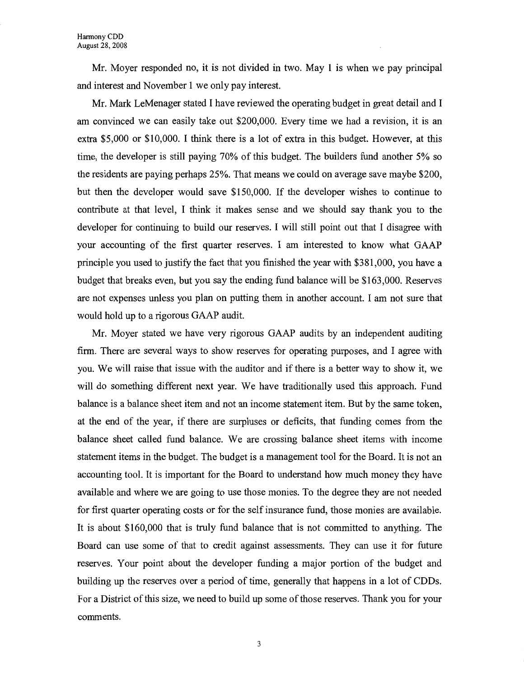Mr. Moyer responded no, it is not divided in two. May 1 is when we pay principal and interest and November 1 we only pay interest.

Mr. Mark LeMenager stated I have reviewed the operating budget in great detail and I am convinced we can easily take out \$200,000. Every time we had a revision, it is an extra \$5,000 or \$10,000. I think there is a lot of extra in this budget. However, at this time, the developer is still paying 70% of this budget. The builders fund another 5% so the residents are paying perhaps 25%. That means we could on average save maybe \$200, but then the developer would save \$150,000. If the developer wishes to continue to contribute at that level, I think it makes sense and we should say thank you to the developer for continuing to build our reserves. I will still point out that I disagree with your accounting of the first quarter reserves. I am interested to know what GAAP principle you used to justify the fact that you finished the year with \$381,000, you have a budget that breaks even, but you say the ending fund balance will be \$163,000. Reserves are not expenses unless you plan on putting them in another account. I am not sure that would hold up to a rigorous GAAP audit.

Mr. Moyer stated we have very rigorous GAAP audits by an independent auditing firm. There are several ways to show reserves for operating purposes, and I agree with you. We will raise that issue with the auditor and if there is a better way to show it, we will do something different next year. We have traditionally used this approach. Fund balance is a balance sheet item and not an income statement item. But by the same token, at the end of the year, if there are surpluses or deficits, that funding comes from the balance sheet called fund balance. We are crossing balance sheet items with income statement items in the budget. The budget is a management tool for the Board. It is not an accounting tool. It is important for the Board to understand how much money they have available and where we are going to use those monies. To the degree they are not needed for first quarter operating costs or for the self insurance fund, those monies are available. It is about \$160,000 that is truly fund balance that is not committed to anything. The Board can use some of that to credit against assessments. They can use it for future reserves. Your point about the developer funding a major portion of the budget and building up the reserves over a period of time, generally that happens in a lot of CDDs. For a District of this size, we need to build up some of those reserves. Thank you for your comments.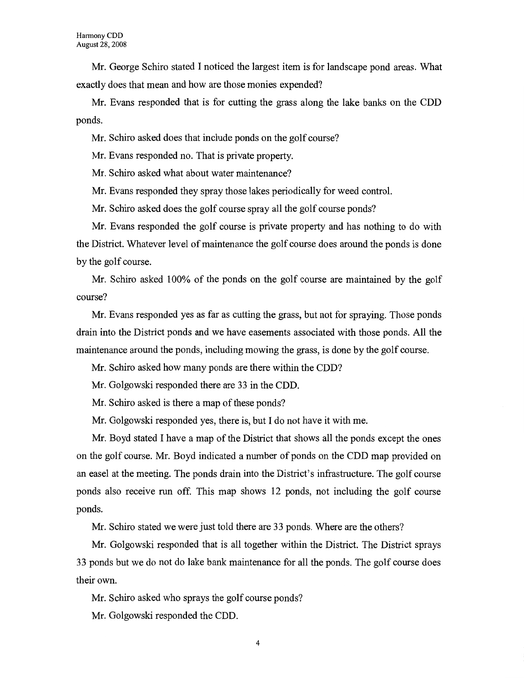Mr. George Schiro stated I noticed the largest item is for landscape pond areas. What exactly does that mean and how are those monies expended?

Mr. Evans responded that is for cutting the grass along the lake banks on the CDD ponds.

Mr. Schiro asked does that include ponds on the golf course?

Mr. Evans responded no. That is private property.

Mr. Schiro asked what about water maintenance?

Mr. Evans responded they spray those lakes periodically for weed control.

Mr. Schiro asked does the golf course spray all the golf course ponds?

Mr. Evans responded the golf course is private property and has nothing to do with the District. Whatever level of maintenance the golf course does around the ponds is done by the golf course.

Mr. Schiro asked 100% of the ponds on the golf course are maintained by the golf course?

Mr. Evans responded yes as far as cutting the grass, but not for spraying. Those ponds drain into the District ponds and we have easements associated with those ponds. All the maintenance around the ponds, including mowing the grass, is done by the golf course.

Mr. Schiro asked how many ponds are there within the CDD?

Mr. Golgowski responded there are 33 in the CDD.

Mr. Schiro asked is there a map of these ponds?

Mr. Golgowski responded yes, there is, but I do not have it with me.

Mr. Boyd stated I have a map of the District that shows all the ponds except the ones on the golf course. Mr. Boyd indicated a number of ponds on the CDD map provided on an easel at the meeting. The ponds drain into the District's infrastructure. The golf course ponds also receive run off. This map shows 12 ponds, not including the golf course ponds.

Mr. Schiro stated we were just told there are 33 ponds. Where are the others?

Mr. Golgowski responded that is all together within the District. The District sprays 33 ponds but we do not do lake bank maintenance for all the ponds. The golf course does their own.

Mr. Schiro asked who sprays the golf course ponds?

Mr. Golgowski responded the CDD.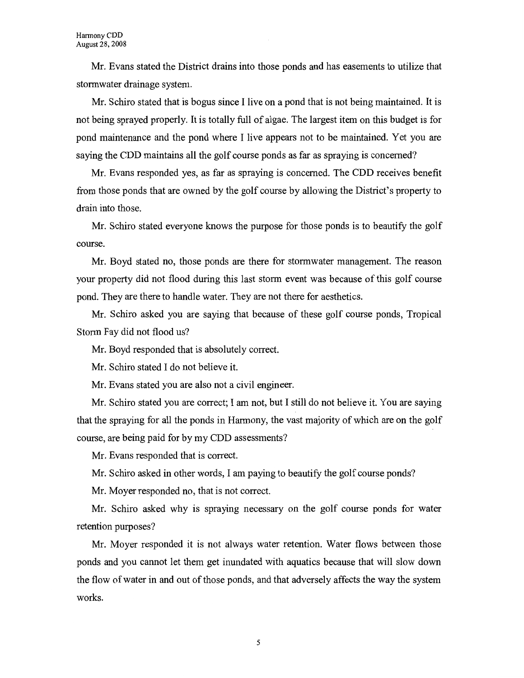Mr. Evans stated the District drains into those ponds and has easements to utilize that stormwater drainage system.

Mr. Schiro stated that is bogus since I live on a pond that is not being maintained. It is not being sprayed properly. It is totally full of algae. The largest item on this budget is for pond maintenance and the pond where I live appears not to be maintained. Yet you are saying the CDD maintains all the golf course ponds as far as spraying is concerned?

Mr. Evans responded yes, as far as spraying is concerned. The CDD receives benefit from those ponds that are owned by the golf course by allowing the District's property to drain into those.

Mr. Schiro stated everyone knows the purpose for those ponds is to beautify the golf course.

Mr. Boyd stated no, those ponds are there for stonnwater management. The reason your property did not flood during this last stonn event was because of this golf course pond. They are there to handle water. They are not there for aesthetics.

Mr. Schiro asked you are saying that because of these golf course ponds, Tropical Storm Fay did not flood us?

Mr. Boyd responded that is absolutely correct.

Mr. Schiro stated I do not believe it.

Mr. Evans stated you are also not a civil engineer.

Mr. Schiro stated you are correct; I am not, but I still do not believe it. You are saying that the spraying for all the ponds in Harmony, the vast majority of which are on the golf course, are being paid for by my CDD assessments?

Mr. Evans responded that is correct.

Mr. Schiro asked in other words, I am paying to beautify the golf course ponds?

Mr. Moyer responded no, that is not correct.

Mr. Schiro asked why is spraying necessary on the golf course ponds for water retention purposes?

Mr. Moyer responded it is not always water retention. Water flows between those ponds and you cannot let them get inundated with aquatics because that will slow down the flow of water in and out of those ponds, and that adversely affects the way the system works.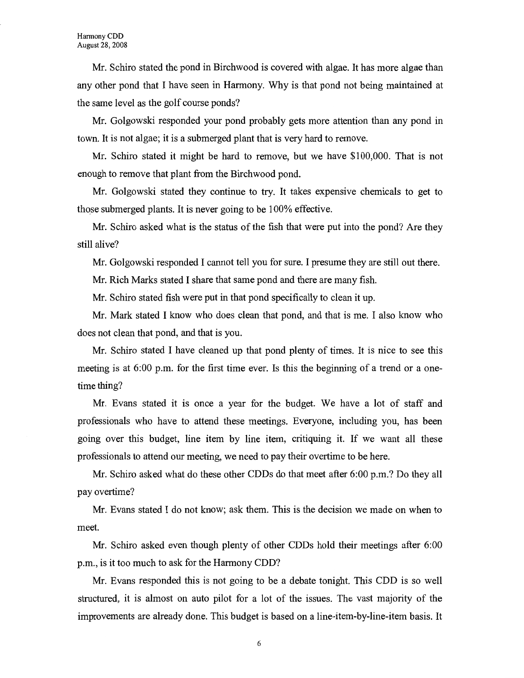Mr. Schiro stated the pond in Birchwood is covered with algae. It has more algae than any other pond that I have seen in Harmony. Why is that pond not being maintained at the same level as the golf course ponds?

Mr. Golgowski responded your pond probably gets more attention than any pond in town. It is not algae; it is a submerged plant that is very hard to remove.

Mr. Schiro stated it might be hard to remove, but we have \$100,000. That is not enough to remove that plant from the Birchwood pond.

Mr. Golgowski stated they continue to try. It takes expensive chemicals to get to those submerged plants. It is never going to be 100% effective.

Mr. Schiro asked what is the status of the fish that were put into the pond? Are they still alive?

Mr. Golgowski responded I cannot tell you for sure. I presume they are still out there.

Mr. Rich Marks stated I share that same pond and there are many fish.

Mr. Schiro stated fish were put in that pond specifically to clean it up.

Mr. Mark stated I know who does clean that pond, and that is me. I also know who does not clean that pond, and that is you.

Mr. Schiro stated I have cleaned up that pond plenty of times. It is nice to see this meeting is at 6:00 p.m. for the first time ever. Is this the beginning of a trend or a onetime thing?

Mr. Evans stated it is once a year for the budget. We have a lot of staff and professionals who have to attend these meetings. Everyone, including you, has been going over this budget, line item by line item, critiquing it. If we want all these professionals to attend our meeting, we need to pay their overtime to be here.

Mr. Schiro asked what do these other CDDs do that meet after 6:00 p.m.? Do they all pay overtime?

Mr. Evans stated I do not know; ask them. This is the decision we made on when to meet.

Mr. Schiro asked even though plenty of other CDDs hold their meetings after 6:00 p.m., is it too much to ask for the Harmony CDD?

Mr. Evans responded this is not going to be a debate tonight. This CDD is so well structured, it is almost on auto pilot for a lot of the issues. The vast majority of the improvements are already done. This budget is based on a line-item-by-line-item basis. It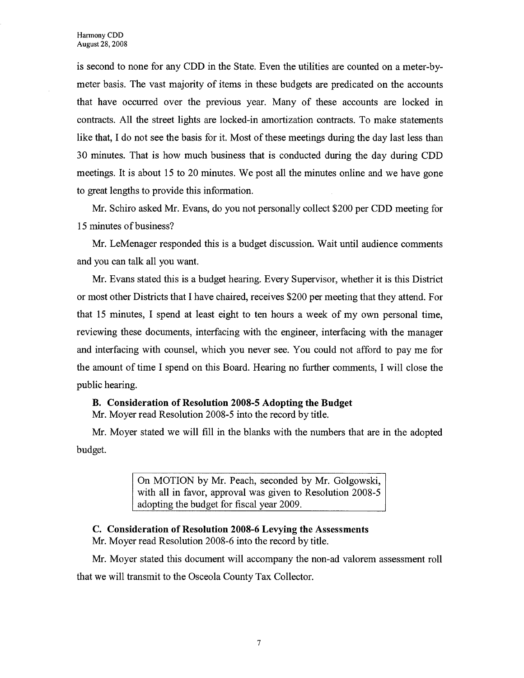is second to none for any CDD in the State. Even the utilities are counted on a meter-bymeter basis. The vast majority of items in these budgets are predicated on the accounts that have occurred over the previous year. Many of these accounts are locked in contracts. All the street lights are locked-in amortization contracts. To make statements like that, I do not see the basis for it. Most of these meetings during the day last less than 30 minutes. That is how much business that is conducted during the day during CDD meetings. It is about 15 to 20 minutes. We post all the minutes online and we have gone to great lengths to provide this information.

Mr. Schiro asked Mr. Evans, do you not personally collect \$200 per CDD meeting for 15 minutes of business?

Mr. LeMenager responded this is a budget discussion. Wait until audience comments and you can talk all you want.

Mr. Evans stated this is a budget hearing. Every Supervisor, whether it is this District or most other Districts that I have chaired, receives \$200 per meeting that they attend. For that 15 minutes, I spend at least eight to ten hours a week of my own personal time, reviewing these documents, interfacing with the engineer, interfacing with the manager and interfacing with counsel, which you never see. You could not afford to pay me for the amount of time I spend on this Board. Hearing no further comments, I will close the public hearing.

#### **B. Consideration of Resolution 2008-5 Adopting the Budget**  Mr. Moyer read Resolution 2008-5 into the record by title.

Mr. Moyer stated we will fill in the blanks with the numbers that are in the adopted budget.

> On MOTION by Mr. Peach, seconded by Mr. Golgowski, with all in favor, approval was given to Resolution 2008-5 adopting the budget for fiscal year 2009.

### **C. Consideration of Resolution 2008-6 Levying the Assessments**

Mr. Moyer read Resolution 2008-6 into the record by title.

Mr. Moyer stated this document will accompany the non-ad valorem assessment roll that we will transmit to the Osceola County Tax Collector.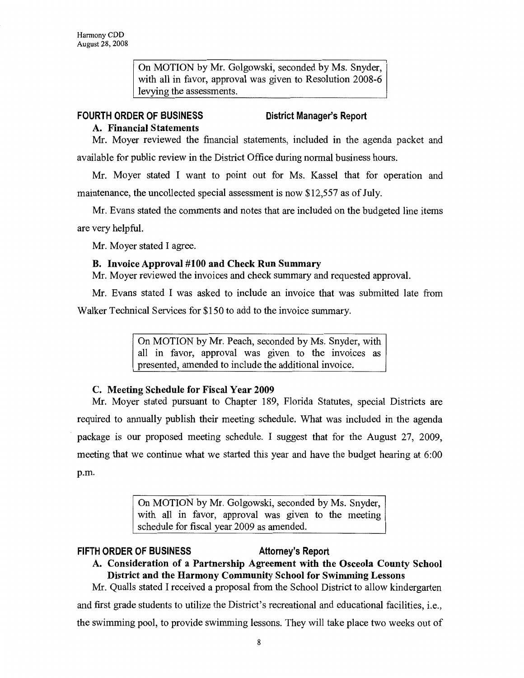On MOTION by Mr. Golgowski, seconded by Ms. Snyder, with all in favor, approval was given to Resolution 2008-6 levying the assessments.

## **FOURTH ORDER OF BUSINESS**

## **District Manager's Report**

## **A. Financial Statements**

Mr. Moyer reviewed the financial statements, included in the agenda packet and available for public review in the District Office during normal business hours.

Mr. Moyer stated I want to point out for Ms. Kassel that for operation and maintenance, the uncollected special assessment is now \$12,557 as of July.

Mr. Evans stated the comments and notes that are included on the budgeted line items are very helpful.

Mr. Moyer stated I agree.

## **B. Invoice Approval #100 and Check Run Summary**

Mr. Moyer reviewed the invoices and check summary and requested approval.

Mr. Evans stated I was asked to include an invoice that was submitted late from

Walker Technical Services for \$150 to add to the invoice summary.

On MOTION by Mr. Peach, seconded by Ms. Snyder, with all in favor, approval was given to the invoices as presented, amended to include the additional invoice.

## **C. Meeting Schedule for Fiscal Year 2009**

Mr. Moyer stated pursuant to Chapter 189, Florida Statutes, special Districts are required to annually publish their meeting schedule. What was included in the agenda package is our proposed meeting schedule. I suggest that for the August 27, 2009, meeting that we continue what we started this year and have the budget hearing at 6:00 p.m.

> On MOTION by Mr. Golgowski, seconded by Ms. Snyder, with all in favor, approval was given to the meeting schedule for fiscal year 2009 as amended.

### **FIFTH ORDER OF BUSINESS Attorney's Report**

## **A. Consideration of a Partnership Agreement with the Osceola County School District and the Harmony Community School for Swimming Lessons**

Mr. Qualls stated I received a proposal from the School District to allow kindergarten and first grade students to utilize the District's recreational and educational facilities, i.e., the swimming pool, to provide swimming lessons. They will take place two weeks out of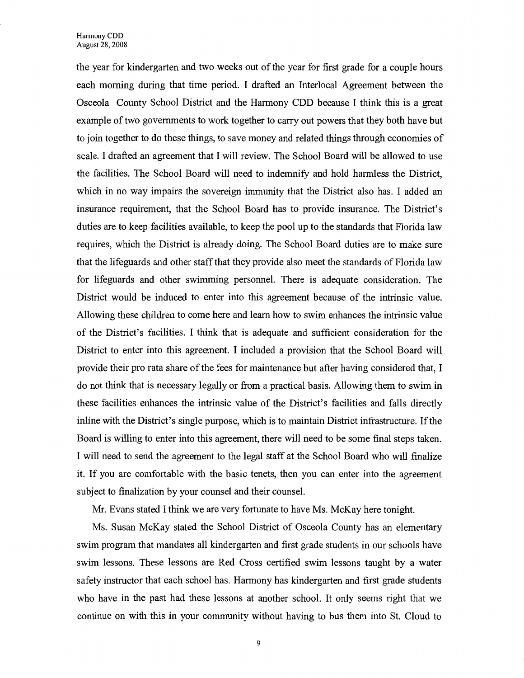the year for kindergarten and two weeks out of the year for first grade for a couple hours each morning during that time period. I drafted an Interlocal Agreement between the Osceola County School District and the Harmony CDD because I think this is a great example of two governments to work together to carry out powers that they both have but to join together to do these things, to save money and related things through economies of scale. I drafted an agreement that I will review. The School Board will be allowed to use the facilities. The School Board will need to indemnify and hold harmless the District, which in no way impairs the sovereign immunity that the District also has. I added an insurance requirement, that the School Board has to provide insurance. The District's duties are to keep facilities available, to keep the pool up to the standards that Florida law requires, which the District is already doing. The School Board duties are to make sure that the lifeguards and other staff that they provide also meet the standards of Florida law for lifeguards and other swimming personnel. There is adequate consideration. The District would be induced to enter into this agreement because of the intrinsic value. Allowing these children to come here and learn how to swim enhances the intrinsic value of the District's facilities. I think that is adequate and sufficient consideration for the District to enter into this agreement. I included a provision that the School Board will provide their pro rata share of the fees for maintenance but after having considered that, I do not think that is necessary legally or from a practical basis. Allowing them to swim in these facilities enhances the intrinsic value of the District's facilities and falls directly inline with the District's single purpose, which is to maintain District infrastructure. If the Board is willing to enter into this agreement, there will need to be some final steps taken. I will need to send the agreement to the legal staff at the School Board who will finalize it. If you are comfortable with the basic tenets, then you can enter into the agreement subject to finalization by your counsel and their counsel.

Mr. Evans stated I think we are very fortunate to have Ms. McKay here tonight.

Ms. Susan McKay stated the School District of Osceola County has an elementary swim program that mandates all kindergarten and first grade students in our schools have swim lessons. These lessons are Red Cross certified swim lessons taught by a water safety instructor that each school has. Harmony has kindergarten and first grade students who have in the past had these lessons at another school. It only seems right that we continue on with this in your community without having to bus them into St. Cloud to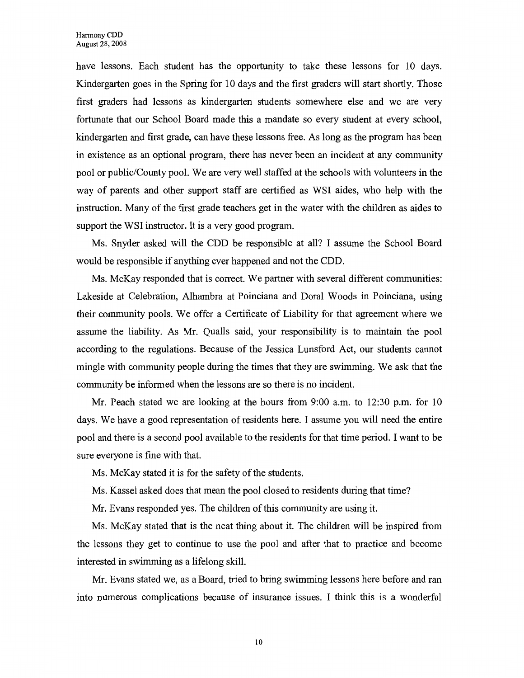have lessons. Each student has the opportunity to take these lessons for 10 days. Kindergarten goes in the Spring for 10 days and the first graders will start shortly. Those first graders had lessons as kindergarten students somewhere else and we are very fortunate that our School Board made this a mandate so every student at every school, kindergarten and first grade, can have these lessons free. As long as the program has been in existence as an optional program, there has never been an incident at any community pool or public/County pool. We are very well staffed at the schools with volunteers in the way of parents and other support staff are certified as WSI aides, who help with the instruction. Many of the first grade teachers get in the water with the children as aides to support the WSI instructor. It is a very good program.

Ms. Snyder asked will the CDD be responsible at all? I assume the School Board would be responsible if anything ever happened and not the CDD.

Ms. McKay responded that is correct. We partner with several different communities: Lakeside at Celebration, Alhambra at Poinciana and Doral Woods in Poinciana, using their community pools. We offer a Certificate of Liability for that agreement where we assume the liability. As Mr. Qualls said, your responsibility is to maintain the pool according to the regulations. Because of the Jessica Lunsford Act, our students cannot mingle with community people during the times that they are swimming. We ask that the community be informed when the lessons are so there is no incident.

Mr. Peach stated we are looking at the hours from 9:00 a.m. to 12:30 p.m. for 10 days. We have a good representation of residents here. I assume you will need the entire pool and there is a second pool available to the residents for that time period. I want to be sure everyone is fine with that.

Ms. McKay stated it is for the safety of the students.

Ms. Kassel asked does that mean the pool closed to residents during that time?

Mr. Evans responded yes. The children of this community are using it.

Ms. McKay stated that is the neat thing about it. The children will be inspired from the lessons they get to continue to use the pool and after that to practice and become interested in swimming as a lifelong skill.

Mr. Evans stated we, as a Board, tried to bring swimming lessons here before and ran into numerous complications because of insurance issues. I think this is a wonderful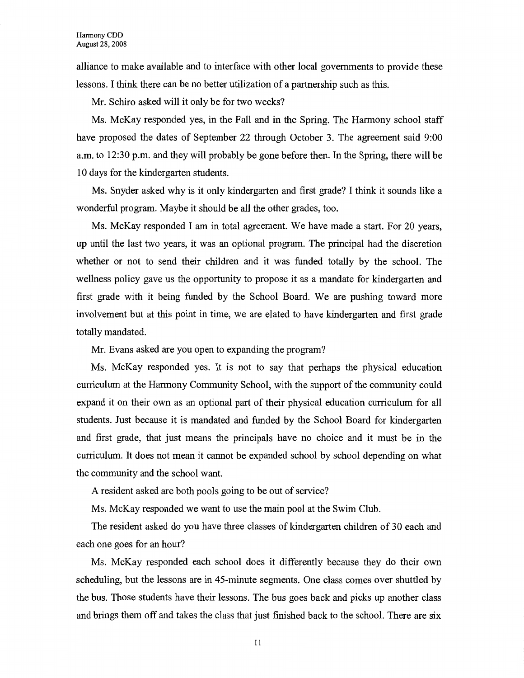alliance to make available and to interface with other local governments to provide these lessons. I think there can be no better utilization of a partnership such as this.

Mr. Schiro asked will it only be for two weeks?

Ms. McKay responded yes, in the Fall and in the Spring. The Harmony school staff have proposed the dates of September 22 through October 3. The agreement said 9:00 a.m. to 12:30 p.m. and they will probably be gone before then. In the Spring, there will be 10 days for the kindergarten students.

Ms. Snyder asked why is it only kindergarten and first grade? I think it sounds like a wonderful program. Maybe it should be all the other grades, too.

Ms. McKay responded I am in total agreement. We have made a start. For 20 years, up until the last two years, it was an optional program. The principal had the discretion whether or not to send their children and it was funded totally by the school. The wellness policy gave us the opportunity to propose it as a mandate for kindergarten and first grade with it being funded by the School Board. We are pushing toward more involvement but at this point in time, we are elated to have kindergarten and first grade totally mandated.

Mr. Evans asked are you open to expanding the program?

Ms. McKay responded yes. It is not to say that perhaps the physical education curriculum at the Harmony Community School, with the support of the community could expand it on their own as an optional part of their physical education curriculum for all students. Just because it is mandated and funded by the School Board for kindergarten and first grade, that just means the principals have no choice and it must be in the curriculum. It does not mean it cannot be expanded school by school depending on what the community and the school want.

A resident asked are both pools going to be out of service?

Ms. McKay responded we want to use the main pool at the Swim Club.

The resident asked do you have three classes of kindergarten children of 30 each and each one goes for an hour?

Ms. McKay responded each school does it differently because they do their own scheduling, but the lessons are in 45-minute segments. One class comes over shuttled by the bus. Those students have their lessons. The bus goes back and picks up another class and brings them off and takes the class that just finished back to the school. There are six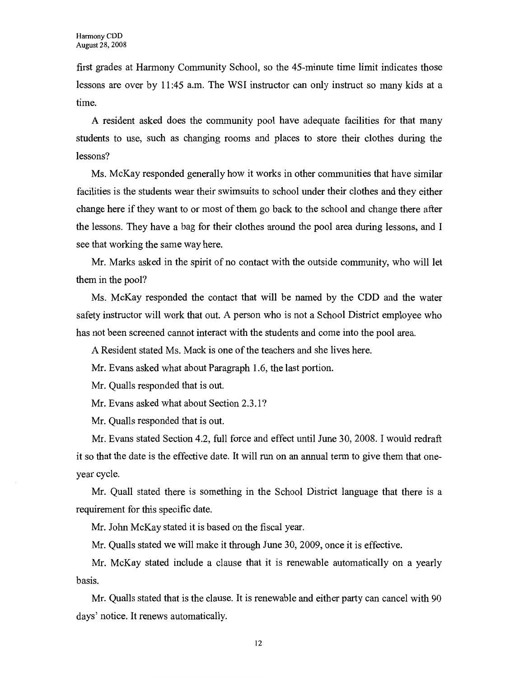first grades at Harmony Community School, so the 45-minute time limit indicates those lessons are over by 11 :45 a.m. The WSI instructor can only instruct so many kids at a time.

A resident asked does the community pool have adequate facilities for that many students to use, such as changing rooms and places to store their clothes during the lessons?

Ms. McKay responded generally how it works in other communities that have similar facilities is the students wear their swimsuits to school under their clothes and they either change here if they want to or most of them go back to the school and change there after the lessons. They have a bag for their clothes around the pool area during lessons, and I see that working the same way here.

Mr. Marks asked in the spirit of no contact with the outside community, who will let them in the pool?

Ms. McKay responded the contact that will be named by the CDD and the water safety instructor will work that out. A person who is not a School District employee who has not been screened cannot interact with the students and come into the pool area.

A Resident stated Ms. Mack is one of the teachers and she lives here.

Mr. Evans asked what about Paragraph 1.6, the last portion.

Mr. Qualls responded that is out.

Mr. Evans asked what about Section 2.3 .1?

Mr. Qualls responded that is out.

Mr. Evans stated Section 4.2, full force and effect until June 30, 2008. I would redraft it so that the date is the effective date. It will run on an annual term to give them that oneyear cycle.

Mr. Quall stated there is something in the School District language that there is a requirement for this specific date.

Mr. John McKay stated it is based on the fiscal year.

Mr. Qualls stated we will make it through June 30, 2009, once it is effective.

Mr. McKay stated include a clause that it is renewable automatically on a yearly basis.

Mr. Qualls stated that is the clause. It is renewable and either party can cancel with 90 days' notice. It renews automatically.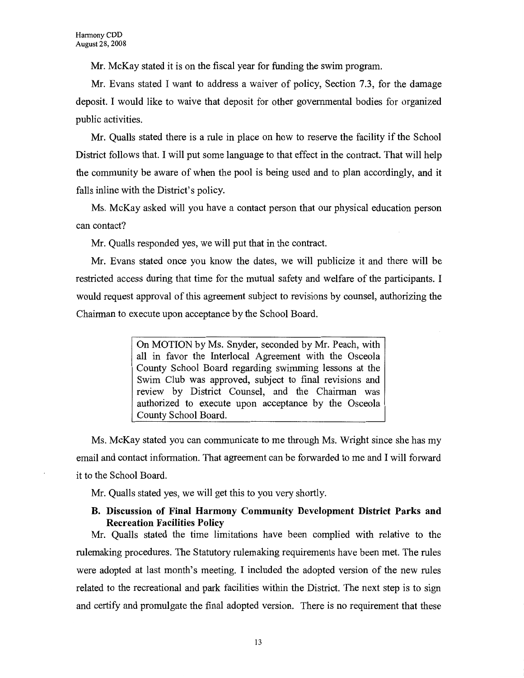Mr. McKay stated it is on the fiscal year for funding the swim program.

Mr. Evans stated I want to address a waiver of policy, Section 7.3, for the damage deposit. I would like to waive that deposit for other governmental bodies for organized public activities.

Mr. Qualls stated there is a rule in place on how to reserve the facility if the School District follows that. I will put some language to that effect in the contract. That will help the community be aware of when the pool is being used and to plan accordingly, and it falls inline with the District's policy.

Ms. McKay asked will you have a contact person that our physical education person can contact?

Mr. Qualls responded yes, we will put that in the contract.

Mr. Evans stated once you know the dates, we will publicize it and there will be restricted access during that time for the mutual safety and welfare of the participants. I would request approval of this agreement subject to revisions by counsel, authorizing the Chairman to execute upon acceptance by the School Board.

> On MOTION by Ms. Snyder, seconded by Mr. Peach, with all in favor the Interlocal Agreement with the Osceola County School Board regarding swimming lessons at the Swim Club was approved, subject to final revisions and review by District Counsel, and the Chairman was authorized to execute upon acceptance by the Osceola County School Board.

Ms. McKay stated you can communicate to me through Ms. Wright since she has my email and contact information. That agreement can be forwarded to me and I will forward it to the School Board.

Mr. Qualls stated yes, we will get this to you very shortly.

#### **B. Discussion of Final Harmony Community Development District Parks and Recreation Facilities Policy**

Mr. Qualls stated the time limitations have been complied with relative to the rulemaking procedures. The Statutory rulemaking requirements have been met. The rules were adopted at last month's meeting. I included the adopted version of the new rules related to the recreational and park facilities within the District. The next step is to sign and certify and promulgate the final adopted version. There is no requirement that these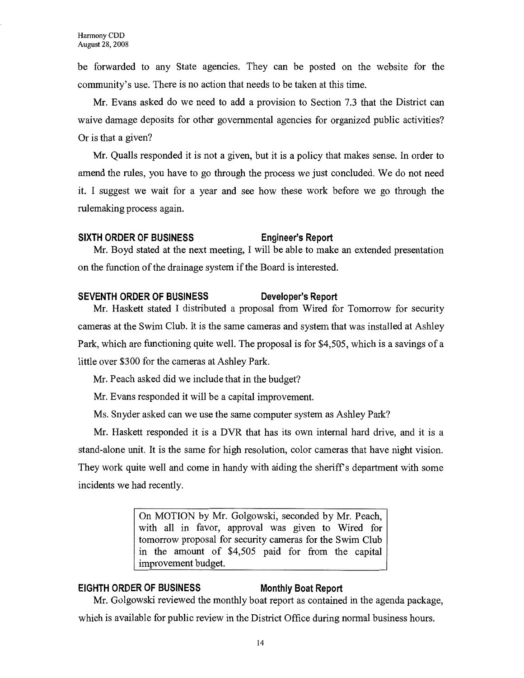be forwarded to any State agencies. They can be posted on the website for the community's use. There is no action that needs to be taken at this time.

Mr. Evans asked do we need to add a provision to Section 7.3 that the District can waive damage deposits for other governmental agencies for organized public activities? Or is that a given?

Mr. Qualls responded it is not a given, but it is a policy that makes sense. In order to amend the rules, you have to go through the process we just concluded. We do not need it. I suggest we wait for a year and see how these work before we go through the rulemaking process again.

#### **SIXTH ORDER OF BUSINESS Engineer's Report**

Mr. Boyd stated at the next meeting, I will be able to make an extended presentation on the function of the drainage system if the Board is interested.

#### **SEVENTH ORDER OF BUSINESS Developer's Report**

Mr. Haskett stated I distributed a proposal from Wired for Tomorrow for security cameras at the Swim Club. It is the same cameras and system that was installed at Ashley Park, which are functioning quite well. The proposal is for \$4,505, which is a savings of a little over \$300 for the cameras at Ashley Park.

Mr. Peach asked did we include that in the budget?

Mr. Evans responded it will be a capital improvement.

Ms. Snyder asked can we use the same computer system as Ashley Park?

Mr. Haskett responded it is a DVR that has its own internal hard drive, and it is a stand-alone unit. It is the same for high resolution, color cameras that have night vision. They work quite well and come in handy with aiding the sheriff's department with some incidents we had recently.

> On MOTION by Mr. Golgowski, seconded by Mr. Peach, with all in favor, approval was given to Wired for tomorrow proposal for security cameras for the Swim Club in the amount of \$4,505 paid for from the capital improvement budget.

#### **EIGHTH ORDER OF BUSINESS Monthly Boat Report**

Mr. Golgowski reviewed the monthly boat report as contained in the agenda package,

which is available for public review in the District Office during normal business hours.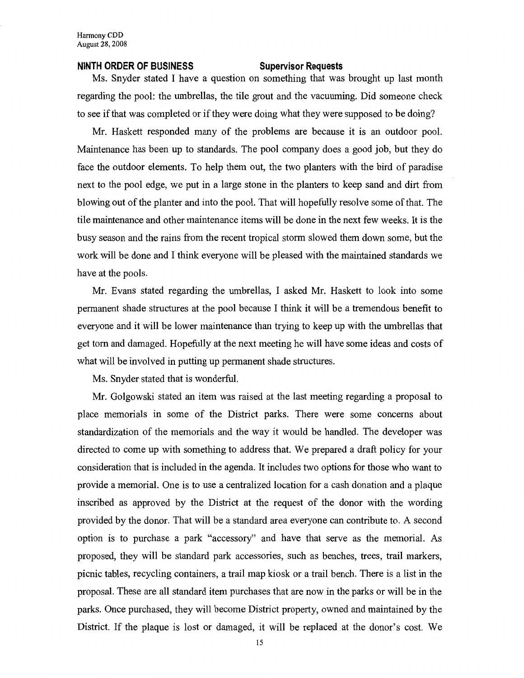#### **NINTH ORDER OF BUSINESS Supervisor Requests**

Ms. Snyder stated I have a question on something that was brought up last month regarding the pool: the umbrellas, the tile grout and the vacuuming. Did someone check to see if that was completed or if they were doing what they were supposed to be doing?

Mr. Haskett responded many of the problems are because it is an outdoor pool. Maintenance has been up to standards. The pool company does a good job, but they do face the outdoor elements. To help them out, the two planters with the bird of paradise next to the pool edge, we put in a large stone in the planters to keep sand and dirt from blowing out of the planter and into the pool. That will hopefully resolve some of that. The tile maintenance and other maintenance items will be done in the next few weeks. It is the busy season and the rains from the recent tropical storm slowed them down some, but the work will be done and I think everyone will be pleased with the maintained standards we have at the pools.

Mr. Evans stated regarding the umbrellas, I asked Mr. Haskett to look into some permanent shade structures at the pool because I think it will be a tremendous benefit to everyone and it will be lower maintenance than trying to keep up with the umbrellas that get tom and damaged. Hopefully at the next meeting he will have some ideas and costs of what will be involved in putting up permanent shade structures.

Ms. Snyder stated that is wonderful.

Mr. Golgowski stated an item was raised at the last meeting regarding a proposal to place memorials in some of the District parks. There were some concerns about standardization of the memorials and the way it would be handled. The developer was directed to come up with something to address that. We prepared a draft policy for your consideration that is included in the agenda. It includes two options for those who want to provide a memorial. One is to use a centralized location for a cash donation and a plaque inscribed as approved by the District at the request of the donor with the wording provided by the donor. That will be a standard area everyone can contribute to. A second option is to purchase a park "accessory" and have that serve as the memorial. As proposed, they will be standard park accessories, such as benches, trees, trail markers, picnic tables, recycling containers, a trail map kiosk or a trail bench. There is a list in the proposal. These are all standard item purchases that are now in the parks or will be in the parks. Once purchased, they will become District property, owned and maintained by the District. If the plaque is lost or damaged, it will be replaced at the donor's cost. We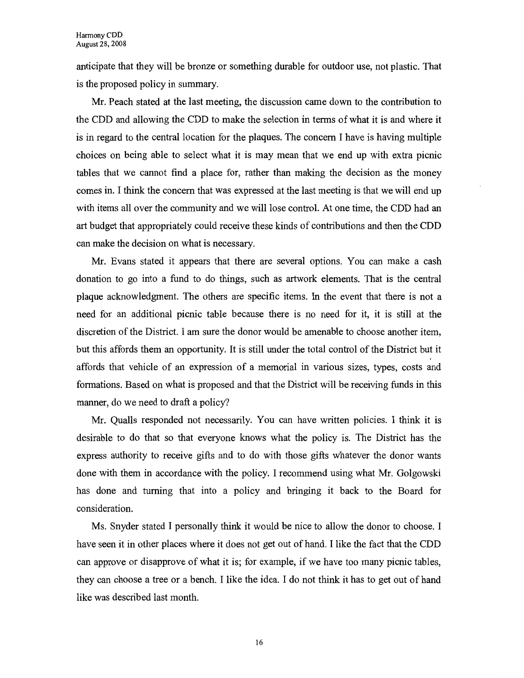anticipate that they will be bronze or something durable for outdoor use, not plastic. That is the proposed policy in summary.

Mr. Peach stated at the last meeting, the discussion came down to the contribution to the CDD and allowing the CDD to make the selection in terms of what it is and where it is in regard to the central location for the plaques. The concern I have is having multiple choices on being able to select what it is may mean that we end up with extra picnic tables that we cannot find a place for, rather than making the decision as the money comes in. I think the concern that was expressed at the last meeting is that we will end up with items all over the community and we will lose control. At one time, the CDD had an art budget that appropriately could receive these kinds of contributions and then the CDD can make the decision on what is necessary.

Mr. Evans stated it appears that there are several options. You can make a cash donation to go into a fund to do things, such as artwork elements. That is the central plaque acknowledgment. The others are specific items. In the event that there is not a need for an additional picnic table because there is no need for it, it is still at the discretion of the District. I am sure the donor would be amenable to choose another item, but this affords them an opportunity. It is still under the total control of the District but it affords that vehicle of an expression of a memorial in various sizes, types, costs and formations. Based on what is proposed and that the District will be receiving funds in this manner, do we need to draft a policy?

Mr. Qualls responded not necessarily. You can have written policies. I think it is desirable to do that so that everyone knows what the policy is. The District has the express authority to receive gifts and to do with those gifts whatever the donor wants done with them in accordance with the policy. I recommend using what Mr. Golgowski has done and turning that into a policy and bringing it back to the Board for consideration.

Ms. Snyder stated I personally think it would be nice to allow the donor to choose. I have seen it in other places where it does not get out of hand. I like the fact that the CDD can approve or disapprove of what it is; for example, if we have too many picnic tables, they can choose a tree or a bench. I like the idea. I do not think it has to get out of hand like was described last month.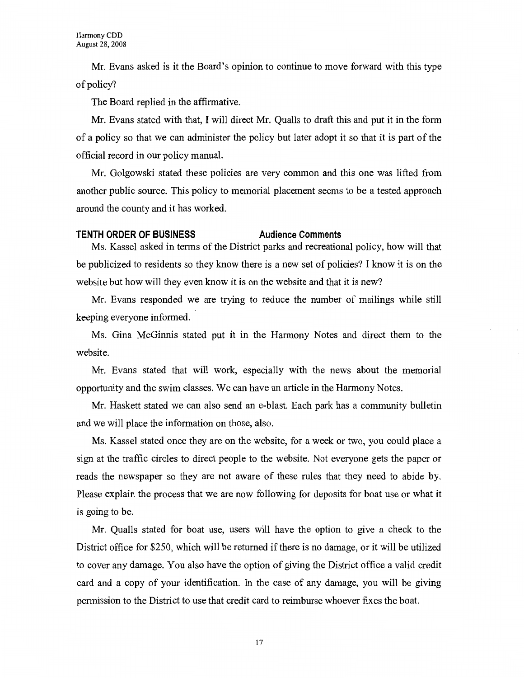Mr. Evans asked is it the Board's opinion to continue to move forward with this type of policy?

The Board replied in the affirmative.

Mr. Evans stated with that, I will direct Mr. Qualls to draft this and put it in the form of a policy so that we can administer the policy but later adopt it so that it is part of the official record in our policy manual.

Mr. Golgowski stated these policies are very common and this one was lifted from another public source. This policy to memorial placement seems to be a tested approach around the county and it has worked.

#### **TENTH ORDER OF BUSINESS Audience Comments**

Ms. Kassel asked in terms of the District parks and recreational policy, how will that be publicized to residents so they know there is a new set of policies? I know it is on the website but how will they even know it is on the website and that it is new?

Mr. Evans responded we are trying to reduce the number of mailings while still keeping everyone informed.

Ms. Gina McGinnis stated put it in the Harmony Notes and direct them to the website.

Mr. Evans stated that will work, especially with the news about the memorial opportunity and the swim classes. We can have an article in the Harmony Notes.

Mr. Haskett stated we can also send an e-blast. Each park has a community bulletin and we will place the information on those, also.

Ms. Kassel stated once they are on the website, for a week or two, you could place a sign at the traffic circles to direct people to the website. Not everyone gets the paper or reads the newspaper so they are not aware of these rules that they need to abide by. Please explain the process that we are now following for deposits for boat use or what it is going to be.

Mr. Qualls stated for boat use, users will have the option to give a check to the District office for \$250, which will be returned if there is no damage, or it will be utilized to cover any damage. You also have the option of giving the District office a valid credit card and a copy of your identification. In the case of any damage, you will be giving permission to the District to use that credit card to reimburse whoever fixes the boat.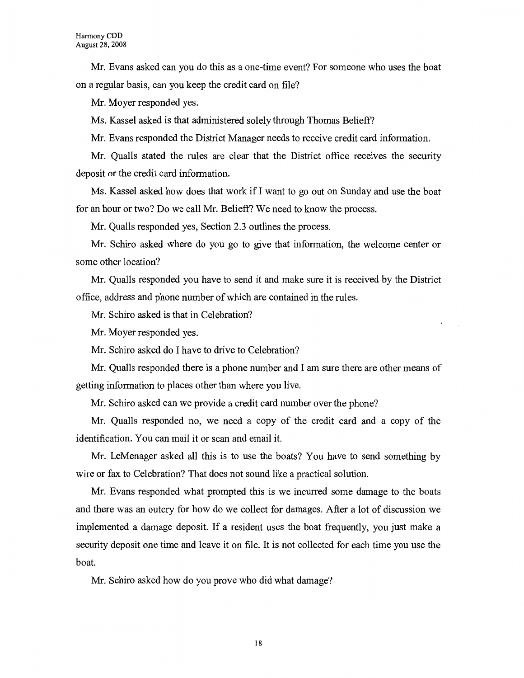Mr. Evans asked can you do this as a one-time event? For someone who uses the boat on a regular basis, can you keep the credit card on file?

Mr. Moyer responded yes.

Ms. Kassel asked is that administered solely through Thomas Belieff?

Mr. Evans responded the District Manager needs to receive credit card information.

Mr. Qualls stated the rules are clear that the District office receives the security deposit or the credit card information.

Ms. Kassel asked how does that work if I want to go out on Sunday and use the boat for an hour or two? Do we call Mr. Belieff? We need to know the process.

Mr. Qualls responded yes, Section 2.3 outlines the process.

Mr. Schiro asked where do you go to give that information, the welcome center or some other location?

Mr. Qualls responded you have to send it and make sure it is received by the District office, address and phone number of which are contained in the rules.

Mr. Schiro asked is that in Celebration?

Mr. Moyer responded yes.

Mr. Schiro asked do I have to drive to Celebration?

Mr. Qualls responded there is a phone number and I am sure there are other means of getting information to places other than where you live.

Mr. Schiro asked can we provide a credit card number over the phone?

Mr. Qualls responded no, we need a copy of the credit card and a copy of the identification. You can mail it or scan and email it.

Mr. LeMenager asked all this is to use the boats? You have to send something by wire or fax to Celebration? That does not sound like a practical solution.

Mr. Evans responded what prompted this is we incurred some damage to the boats and there was an outcry for how do we collect for damages. After a lot of discussion we implemented a damage deposit. If a resident uses the boat frequently, you just make a security deposit one time and leave it on file. It is not collected for each time you use the boat.

Mr. Schiro asked how do you prove who did what damage?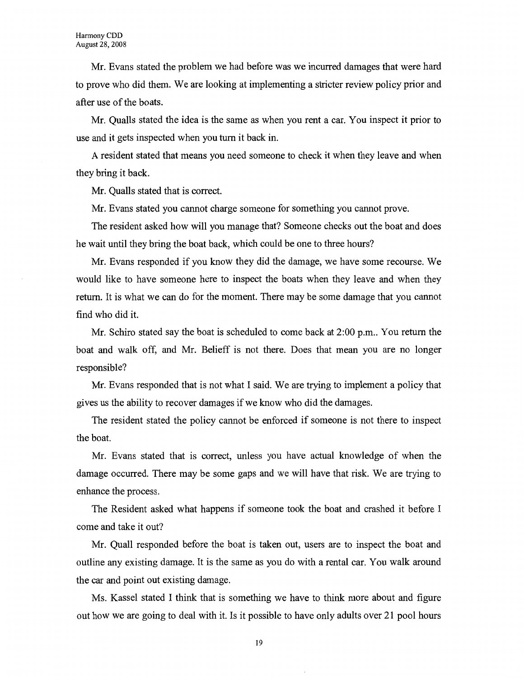Mr. Evans stated the problem we had before was we incurred damages that were hard to prove who did them. We are looking at implementing a stricter review policy prior and after use of the boats.

Mr. Qualls stated the idea is the same as when you rent a car. You inspect it prior to use and it gets inspected when you turn it back in.

A resident stated that means you need someone to check it when they leave and when they bring it back.

Mr. Qualls stated that is correct.

Mr. Evans stated you cannot charge someone for something you cannot prove.

The resident asked how will you manage that? Someone checks out the boat and does he wait until they bring the boat back, which could be one to three hours?

Mr. Evans responded if you know they did the damage, we have some recourse. We would like to have someone here to inspect the boats when they leave and when they return. It is what we can do for the moment. There may be some damage that you cannot find who did it.

Mr. Schiro stated say the boat is scheduled to come back at 2:00 p.m.. You return the boat and walk off, and Mr. Belieff is not there. Does that mean you are no longer responsible?

Mr. Evans responded that is not what I said. We are trying to implement a policy that gives us the ability to recover damages if we know who did the damages.

The resident stated the policy cannot be enforced if someone is not there to inspect the boat.

Mr. Evans stated that is correct, unless you have actual knowledge of when the damage occurred. There may be some gaps and we will have that risk. We are trying to enhance the process.

The Resident asked what happens if someone took the boat and crashed it before I come and take it out?

Mr. Quall responded before the boat is taken out, users are to inspect the boat and outline any existing damage. It is the same as you do with a rental car. You walk around the car and point out existing damage.

Ms. Kassel stated I think that is something we have to think more about and figure out how we are going to deal with it. Is it possible to have only adults over 21 pool hours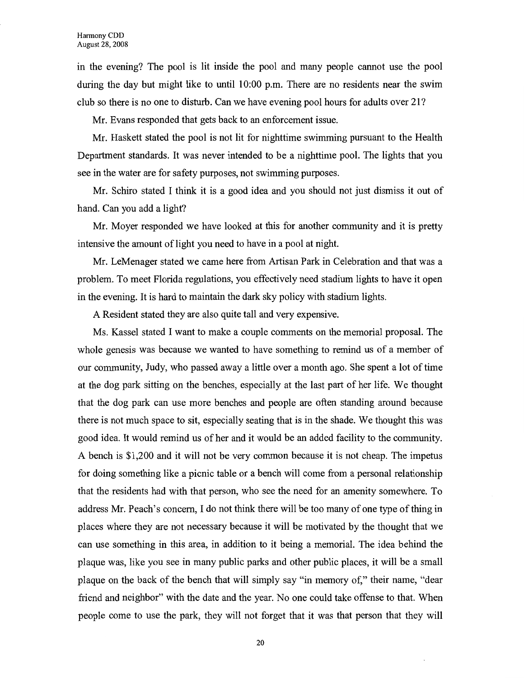in the evening? The pool is lit inside the pool and many people cannot use the pool during the day but might like to until 10:00 p.m. There are no residents near the swim club so there is no one to disturb. Can we have evening pool hours for adults over 21?

Mr. Evans responded that gets back to an enforcement issue.

Mr. Haskett stated the pool is not lit for nighttime swimming pursuant to the Health Department standards. It was never intended to be a nighttime pool. The lights that you see in the water are for safety purposes, not swimming purposes.

Mr. Schiro stated I think it is a good idea and you should not just dismiss it out of hand. Can you add a light?

Mr. Moyer responded we have looked at this for another community and it is pretty intensive the amount of light you need to have in a pool at night.

Mr. LeMenager stated we came here from Artisan Park in Celebration and that was a problem. To meet Florida regulations, you effectively need stadium lights to have it open in the evening. It is hard to maintain the dark sky policy with stadium lights.

A Resident stated they are also quite tall and very expensive.

Ms. Kassel stated I want to make a couple comments on the memorial proposal. The whole genesis was because we wanted to have something to remind us of a member of our community, Judy, who passed away a little over a month ago. She spent a lot of time at the dog park sitting on the benches, especially at the last part of her life. We thought that the dog park can use more benches and people are often standing around because there is not much space to sit, especially seating that is in the shade. We thought this was good idea. It would remind us of her and it would be an added facility to the community. A bench is \$1,200 and it will not be very common because it is not cheap. The impetus for doing something like a picnic table or a bench will come from a personal relationship that the residents had with that person, who see the need for an amenity somewhere. To address Mr. Peach's concern, I do not think there will be too many of one type of thing in places where they are not necessary because it will be motivated by the thought that we can use something in this area, in addition to it being a memorial. The idea behind the plaque was, like you see in many public parks and other public places, it will be a small plaque on the back of the bench that will simply say "in memory of," their name, "dear friend and neighbor" with the date and the year. No one could take offense to that. When people come to use the park, they will not forget that it was that person that they will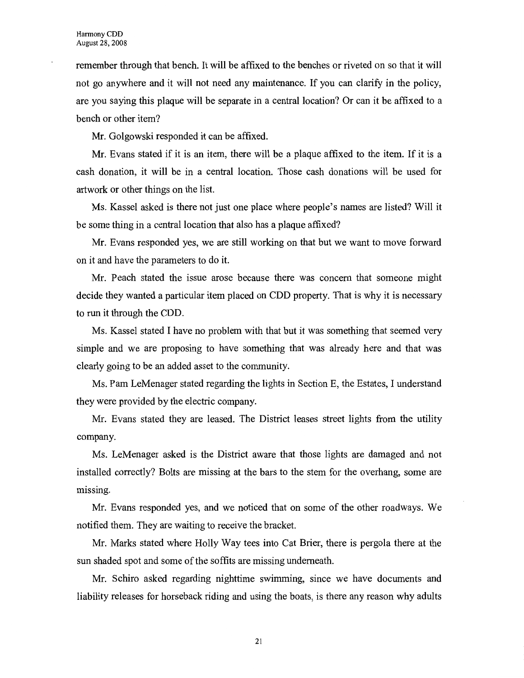remember through that bench. It will be affixed to the benches or riveted on so that it will not go anywhere and it will not need any maintenance. If you can clarify in the policy, are you saying this plaque will be separate in a central location? Or can it be affixed to a bench or other item?

Mr. Golgowski responded it can be affixed.

Mr. Evans stated if it is an item, there will be a plaque affixed to the item. If it is a cash donation, it will be in a central location. Those cash donations will be used for artwork or other things on the list.

Ms. Kassel asked is there not just one place where people's names are listed? Will it be some thing in a central location that also has a plaque affixed?

Mr. Evans responded yes, we are still working on that but we want to move forward on it and have the parameters to do it.

Mr. Peach stated the issue arose because there was concern that someone might decide they wanted a particular item placed on CDD property. That is why it is necessary to run it through the CDD.

Ms. Kassel stated I have no problem with that but it was something that seemed very simple and we are proposing to have something that was already here and that was clearly going to be an added asset to the community.

Ms. Pam LeMenager stated regarding the lights in Section E, the Estates, I understand they were provided by the electric company.

Mr. Evans stated they are leased. The District leases street lights from the utility company.

Ms. LeMenager asked is the District aware that those lights are damaged and not installed correctly? Bolts are missing at the bars to the stem for the overhang, some are missing.

Mr. Evans responded yes, and we noticed that on some of the other roadways. We notified them. They are waiting to receive the bracket.

Mr. Marks stated where Holly Way tees into Cat Brier, there is pergola there at the sun shaded spot and some of the soffits are missing underneath.

Mr. Schiro asked regarding nighttime swimming, since we have documents and liability releases for horseback riding and using the boats, is there any reason why adults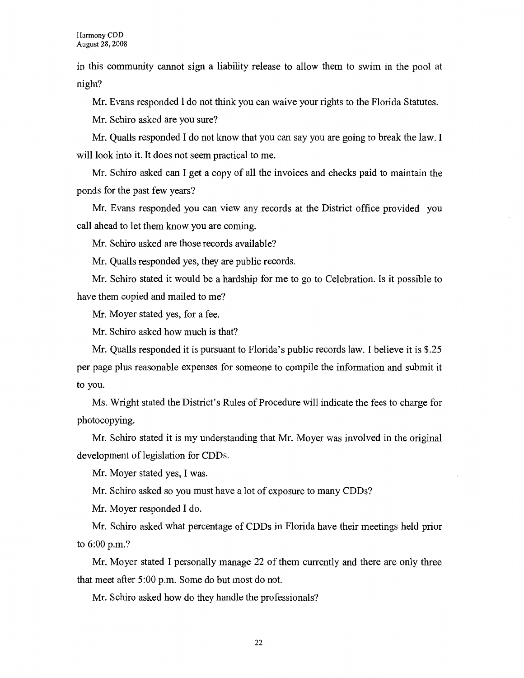in this community cannot sign a liability release to allow them to swim in the pool at night?

Mr. Evans responded I do not think you can waive your rights to the Florida Statutes.

Mr. Schiro asked are you sure?

Mr. Qualls responded I do not know that you can say you are going to break the law. I will look into it. It does not seem practical to me.

Mr. Schiro asked can I get a copy of all the invoices and checks paid to maintain the ponds for the past few years?

Mr. Evans responded you can view any records at the District office provided you call ahead to let them know you are coming.

Mr. Schiro asked are those records available?

Mr. Qualls responded yes, they are public records.

Mr. Schiro stated it would be a hardship for me to go to Celebration. Is it possible to have them copied and mailed to me?

Mr. Moyer stated yes, for a fee.

Mr. Schiro asked how much is that?

Mr. Qualls responded it is pursuant to Florida's public records law. I believe it is \$.25 per page plus reasonable expenses for someone to compile the information and submit it to you.

Ms. Wright stated the District's Rules of Procedure will indicate the fees to charge for photocopying.

Mr. Schiro stated it is my understanding that Mr. Moyer was involved in the original development of legislation for CDDs.

Mr. Moyer stated yes, I was.

Mr. Schiro asked so you must have a lot of exposure to many CDDs?

Mr. Moyer responded I do.

Mr. Schiro asked what percentage of CDDs in Florida have their meetings held prior to 6:00 p.m.?

Mr. Moyer stated I personally manage 22 of them currently and there are only three that meet after 5:00 p.m. Some do but most do not.

Mr. Schiro asked how do they handle the professionals?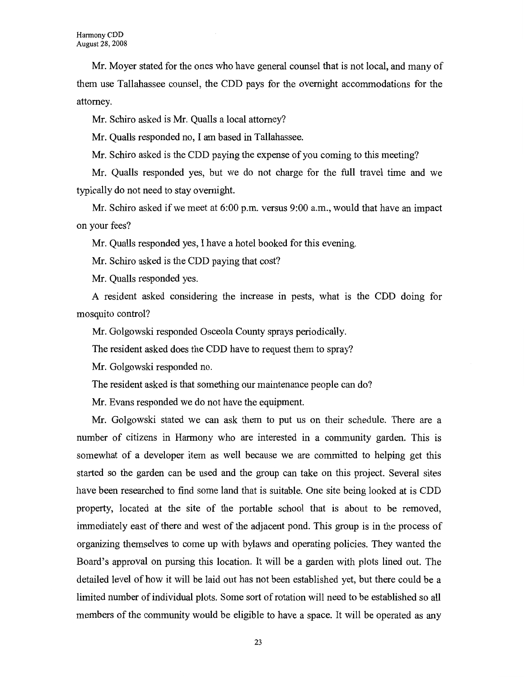Mr. Moyer stated for the ones who have general counsel that is not local, and many of them use Tallahassee counsel, the CDD pays for the overnight accommodations for the attorney.

Mr. Schiro asked is Mr. Qualls a local attorney?

Mr. Qualls responded no, I am based in Tallahassee.

Mr. Schiro asked is the CDD paying the expense of you coming to this meeting?

Mr. Qualls responded yes, but we do not charge for the full travel time and we typically do not need to stay overnight.

Mr. Schiro asked if we meet at 6:00 p.m. versus 9:00 a.m., would that have an impact on your fees?

Mr. Qualls responded yes, I have a hotel booked for this evening.

Mr. Schiro asked is the CDD paying that cost?

Mr. Qualls responded yes.

A resident asked considering the increase in pests, what is the CDD doing for mosquito control?

Mr. Golgowski responded Osceola County sprays periodically.

The resident asked does the CDD have to request them to spray?

Mr. Golgowski responded no.

The resident asked is that something our maintenance people can do?

Mr. Evans responded we do not have the equipment.

Mr. Golgowski stated we can ask them to put us on their schedule. There are a number of citizens in Harmony who are interested in a community garden. This is somewhat of a developer item as well because we are committed to helping get this started so the garden can be used and the group can take on this project. Several sites have been researched to find some land that is suitable. One site being looked at is CDD property, located at the site of the portable school that is about to be removed, immediately east of there and west of the adjacent pond. This group is in the process of organizing themselves to come up with bylaws and operating policies. They wanted the Board's approval on pursing this location. It will be a garden with plots lined out. The detailed level of how it will be laid out has not been established yet, but there could be a limited number of individual plots. Some sort of rotation will need to be established so all members of the community would be eligible to have a space. It will be operated as any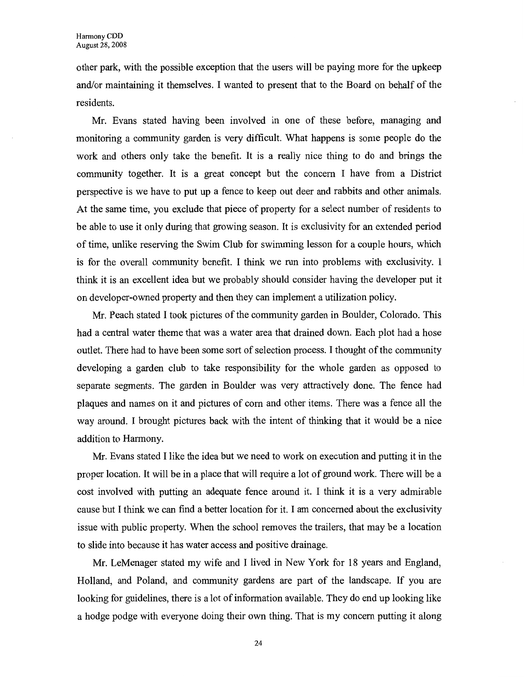other park, with the possible exception that the users will be paying more for the upkeep and/or maintaining it themselves. I wanted to present that to the Board on behalf of the residents.

Mr. Evans stated having been involved in one of these before, managing and monitoring a community garden is very difficult. What happens is some people do the work and others only take the benefit. It is a really nice thing to do and brings the community together. It is a great concept but the concern I have from a District perspective is we have to put up a fence to keep out deer and rabbits and other animals. At the same time, you exclude that piece of property for a select number of residents to be able to use it only during that growing season. It is exclusivity for an extended period of time, unlike reserving the Swim Club for swimming lesson for a couple hours, which is for the overall community benefit. I think we run into problems with exclusivity. I think it is an excellent idea but we probably should consider having the developer put it on developer-owned property and then they can implement a utilization policy.

Mr. Peach stated I took pictures of the community garden in Boulder, Colorado. This had a central water theme that was a water area that drained down. Each plot had a hose outlet. There had to have been some sort of selection process. I thought of the community developing a garden club to take responsibility for the whole garden as opposed to separate segments. The garden in Boulder was very attractively done. The fence had plaques and names on it and pictures of com and other items. There was a fence all the way around. I brought pictures back with the intent of thinking that it would be a nice addition to Harmony.

Mr. Evans stated I like the idea but we need to work on execution and putting it in the proper location. It will be in a place that will require a lot of ground work. There will be a cost involved with putting an adequate fence around it. I think it is a very admirable cause but I think we can find a better location for it. I am concerned about the exclusivity issue with public property. When the school removes the trailers, that may be a location to slide into because it has water access and positive drainage.

Mr. LeMenager stated my wife and I lived in New York for 18 years and England, Holland, and Poland, and community gardens are part of the landscape. If you are looking for guidelines, there is a lot of information available. They do end up looking like a hodge podge with everyone doing their own thing. That is my concern putting it along